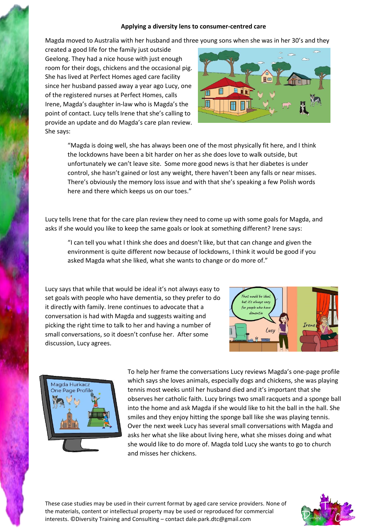## **Applying a diversity lens to consumer-centred care**

Magda moved to Australia with her husband and three young sons when she was in her 30's and they

created a good life for the family just outside Geelong. They had a nice house with just enough room for their dogs, chickens and the occasional pig. She has lived at Perfect Homes aged care facility since her husband passed away a year ago Lucy, one of the registered nurses at Perfect Homes, calls Irene, Magda's daughter in-law who is Magda's the point of contact. Lucy tells Irene that she's calling to provide an update and do Magda's care plan review. She says:



"Magda is doing well, she has always been one of the most physically fit here, and I think the lockdowns have been a bit harder on her as she does love to walk outside, but unfortunately we can't leave site. Some more good news is that her diabetes is under control, she hasn't gained or lost any weight, there haven't been any falls or near misses. There's obviously the memory loss issue and with that she's speaking a few Polish words here and there which keeps us on our toes."

Lucy tells Irene that for the care plan review they need to come up with some goals for Magda, and asks if she would you like to keep the same goals or look at something different? Irene says:

"I can tell you what I think she does and doesn't like, but that can change and given the environment is quite different now because of lockdowns, I think it would be good if you asked Magda what she liked, what she wants to change or do more of."

Lucy says that while that would be ideal it's not always easy to set goals with people who have dementia, so they prefer to do it directly with family. Irene continues to advocate that a conversation is had with Magda and suggests waiting and picking the right time to talk to her and having a number of small conversations, so it doesn't confuse her. After some discussion, Lucy agrees.





To help her frame the conversations Lucy reviews Magda's one-page profile which says she loves animals, especially dogs and chickens, she was playing tennis most weeks until her husband died and it's important that she observes her catholic faith. Lucy brings two small racquets and a sponge ball into the home and ask Magda if she would like to hit the ball in the hall. She smiles and they enjoy hitting the sponge ball like she was playing tennis. Over the next week Lucy has several small conversations with Magda and asks her what she like about living here, what she misses doing and what she would like to do more of. Magda told Lucy she wants to go to church and misses her chickens.

These case studies may be used in their current format by aged care service providers. None of the materials, content or intellectual property may be used or reproduced for commercial interests. ©Diversity Training and Consulting – contact dale.park.dtc@gmail.com

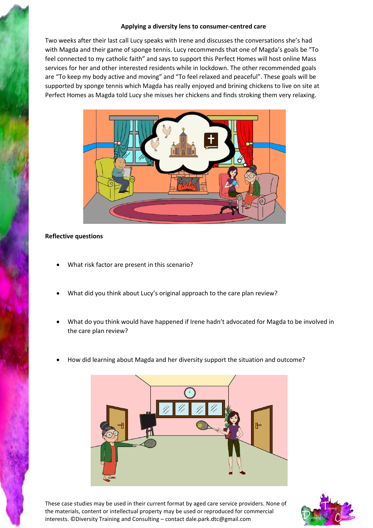## **Applying a diversity lens to consumer-centred care**

Two weeks after their last call Lucy speaks with Irene and discusses the conversations she's had with Magda and their game of sponge tennis. Lucy recommends that one of Magda's goals be "To feel connected to my catholic faith" and says to support this Perfect Homes will host online Mass services for her and other interested residents while in lockdown. The other recommended goals are "To keep my body active and moving" and "To feel relaxed and peaceful". These goals will be supported by sponge tennis which Magda has really enjoyed and brining chickens to live on site at Perfect Homes as Magda told Lucy she misses her chickens and finds stroking them very relaxing.



## **Reflective questions**

- What risk factor are present in this scenario?
- What did you think about Lucy's original approach to the care plan review?
- What do you think would have happened if Irene hadn't advocated for Magda to be involved in the care plan review?
- How did learning about Magda and her diversity support the situation and outcome?



These case studies may be used in their current format by aged care service providers. None of the materials, content or intellectual property may be used or reproduced for commercial interests. ©Diversity Training and Consulting – contact dale.park.dtc@gmail.com